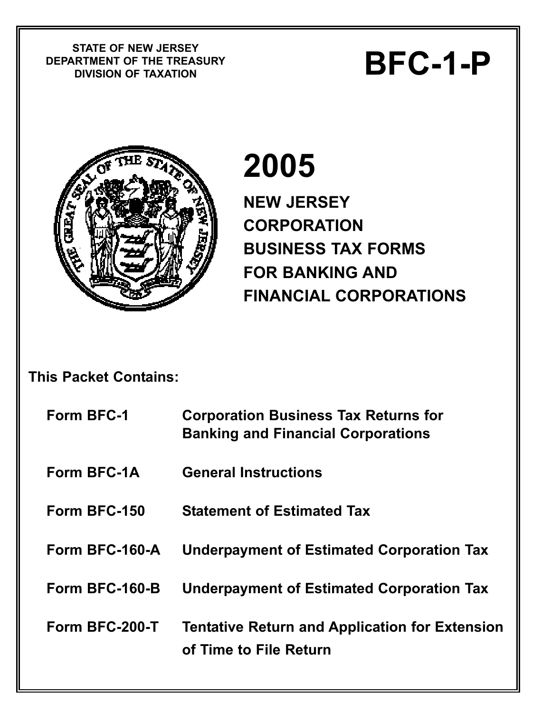**STATE OF NEW JERSEY DEPARTMENT OF THE TREASURY** STATE OF NEW JERSET<br>RTMENT OF THE TREASURY<br>DIVISION OF TAXATION



# **2005**

**NEW JERSEY CORPORATION BUSINESS TAX FORMS FOR BANKING AND FINANCIAL CORPORATIONS** 

## **This Packet Contains:**

| Form BFC-1     | <b>Corporation Business Tax Returns for</b><br><b>Banking and Financial Corporations</b> |
|----------------|------------------------------------------------------------------------------------------|
| Form BFC-1A    | <b>General Instructions</b>                                                              |
| Form BFC-150   | <b>Statement of Estimated Tax</b>                                                        |
| Form BFC-160-A | <b>Underpayment of Estimated Corporation Tax</b>                                         |
| Form BFC-160-B | <b>Underpayment of Estimated Corporation Tax</b>                                         |
| Form BFC-200-T | <b>Tentative Return and Application for Extension</b><br>of Time to File Return          |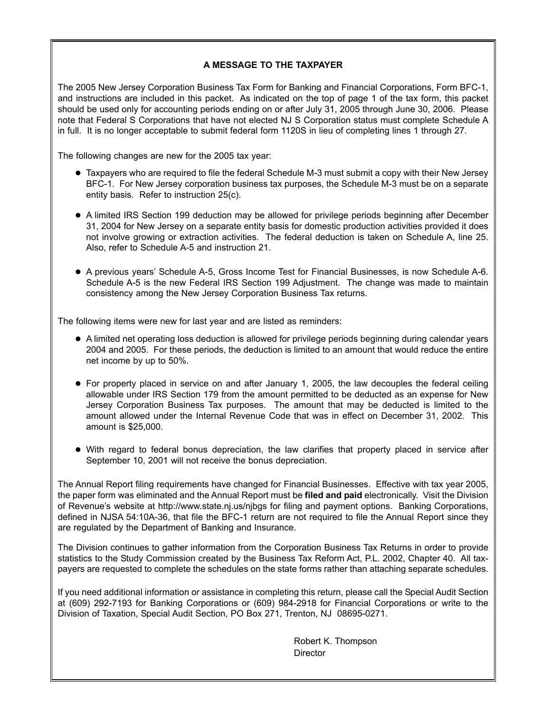#### **A MESSAGE TO THE TAXPAYER**

The 2005 New Jersey Corporation Business Tax Form for Banking and Financial Corporations, Form BFC-1, and instructions are included in this packet. As indicated on the top of page 1 of the tax form, this packet should be used only for accounting periods ending on or after July 31, 2005 through June 30, 2006. Please note that Federal S Corporations that have not elected NJ S Corporation status must complete Schedule A in full. It is no longer acceptable to submit federal form 1120S in lieu of completing lines 1 through 27.

The following changes are new for the 2005 tax year:

- Taxpayers who are required to file the federal Schedule M-3 must submit a copy with their New Jersey BFC-1. For New Jersey corporation business tax purposes, the Schedule M-3 must be on a separate entity basis. Refer to instruction 25(c).
- A limited IRS Section 199 deduction may be allowed for privilege periods beginning after December 31, 2004 for New Jersey on a separate entity basis for domestic production activities provided it does not involve growing or extraction activities. The federal deduction is taken on Schedule A, line 25. Also, refer to Schedule A-5 and instruction 21.
- A previous years' Schedule A-5, Gross Income Test for Financial Businesses, is now Schedule A-6. Schedule A-5 is the new Federal IRS Section 199 Adjustment. The change was made to maintain consistency among the New Jersey Corporation Business Tax returns.

The following items were new for last year and are listed as reminders:

- A limited net operating loss deduction is allowed for privilege periods beginning during calendar years 2004 and 2005. For these periods, the deduction is limited to an amount that would reduce the entire net income by up to 50%.
- For property placed in service on and after January 1, 2005, the law decouples the federal ceiling allowable under IRS Section 179 from the amount permitted to be deducted as an expense for New Jersey Corporation Business Tax purposes. The amount that may be deducted is limited to the amount allowed under the Internal Revenue Code that was in effect on December 31, 2002. This amount is \$25,000.
- With regard to federal bonus depreciation, the law clarifies that property placed in service after September 10, 2001 will not receive the bonus depreciation.

The Annual Report filing requirements have changed for Financial Businesses. Effective with tax year 2005, the paper form was eliminated and the Annual Report must be **filed and paid** electronically. Visit the Division of Revenue's website at http://www.state.nj.us/njbgs for filing and payment options. Banking Corporations, defined in NJSA 54:10A-36, that file the BFC-1 return are not required to file the Annual Report since they are regulated by the Department of Banking and Insurance.

The Division continues to gather information from the Corporation Business Tax Returns in order to provide statistics to the Study Commission created by the Business Tax Reform Act, P.L. 2002, Chapter 40. All taxpayers are requested to complete the schedules on the state forms rather than attaching separate schedules.

If you need additional information or assistance in completing this return, please call the Special Audit Section at (609) 292-7193 for Banking Corporations or (609) 984-2918 for Financial Corporations or write to the Division of Taxation, Special Audit Section, PO Box 271, Trenton, NJ 08695-0271.

> Robert K. Thompson **Director**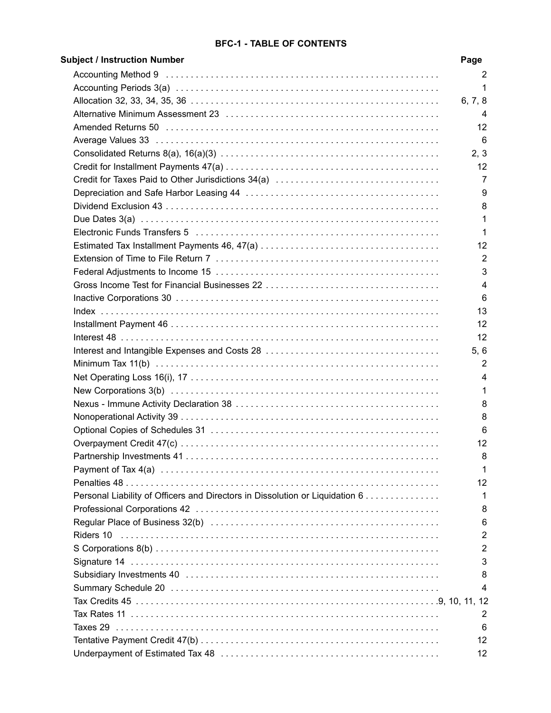#### **BFC-1 - TABLE OF CONTENTS**

| <b>Subject / Instruction Number</b>                                           | Page           |
|-------------------------------------------------------------------------------|----------------|
|                                                                               | 2              |
|                                                                               | 1              |
|                                                                               | 6, 7, 8        |
|                                                                               | 4              |
|                                                                               | 12             |
|                                                                               | 6              |
|                                                                               | 2, 3           |
|                                                                               | 12             |
|                                                                               | 7              |
|                                                                               | 9              |
|                                                                               | 8              |
|                                                                               | 1              |
|                                                                               | 1              |
|                                                                               | 12             |
|                                                                               | $\overline{2}$ |
|                                                                               | 3              |
|                                                                               | $\overline{4}$ |
|                                                                               | 6              |
|                                                                               | 13             |
|                                                                               | 12             |
|                                                                               | 12             |
|                                                                               | 5, 6           |
|                                                                               | $\overline{2}$ |
|                                                                               | 4              |
|                                                                               | 1              |
|                                                                               | 8              |
|                                                                               | 8              |
|                                                                               | 6              |
|                                                                               | 12             |
| Partnership Investments 41                                                    | 8              |
|                                                                               | $\mathbf{1}$   |
|                                                                               | 12             |
|                                                                               | 1              |
| Personal Liability of Officers and Directors in Dissolution or Liquidation 6. |                |
|                                                                               | 8              |
|                                                                               | 6              |
|                                                                               | 2              |
|                                                                               | 2              |
|                                                                               | 3              |
|                                                                               | 8              |
|                                                                               | 4              |
|                                                                               |                |
|                                                                               | 2              |
|                                                                               | 6              |
|                                                                               | 12             |
|                                                                               | 12             |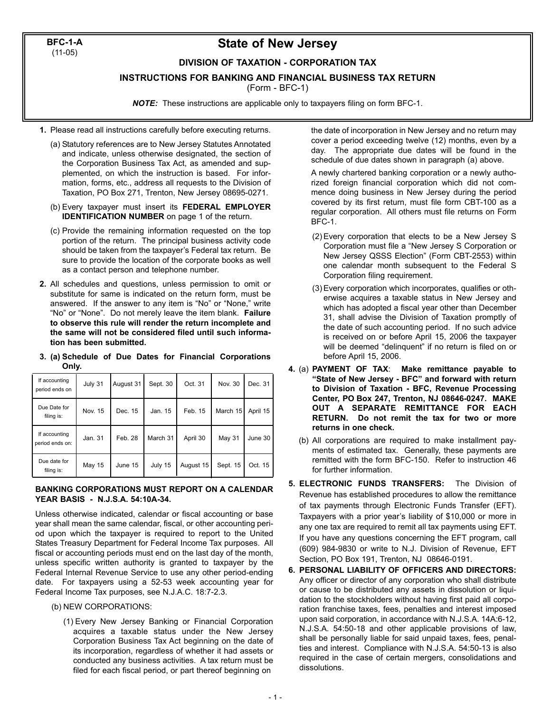**BFC-1-A** (11-05)

### **State of New Jersey**

#### **DIVISION OF TAXATION - CORPORATION TAX**

**INSTRUCTIONS FOR BANKING AND FINANCIAL BUSINESS TAX RETURN**

(Form - BFC-1)

*NOTE:* These instructions are applicable only to taxpayers filing on form BFC-1.

- **1.** Please read all instructions carefully before executing returns.
	- (a) Statutory references are to New Jersey Statutes Annotated and indicate, unless otherwise designated, the section of the Corporation Business Tax Act, as amended and supplemented, on which the instruction is based. For information, forms, etc., address all requests to the Division of Taxation, PO Box 271, Trenton, New Jersey 08695-0271.
	- (b) Every taxpayer must insert its **FEDERAL EMPLOYER IDENTIFICATION NUMBER** on page 1 of the return.
	- (c) Provide the remaining information requested on the top portion of the return. The principal business activity code should be taken from the taxpayer's Federal tax return. Be sure to provide the location of the corporate books as well as a contact person and telephone number.
- **2.** All schedules and questions, unless permission to omit or substitute for same is indicated on the return form, must be answered. If the answer to any item is "No" or "None," write "No" or "None". Do not merely leave the item blank. **Failure to observe this rule will render the return incomplete and the same will not be considered filed until such information has been submitted.**
- **3. (a) Schedule of Due Dates for Financial Corporations Only.**

| If accounting<br>period ends on  | July 31 | August 31 | Sept. 30 | Oct. 31   | Nov. 30       | Dec. 31  |
|----------------------------------|---------|-----------|----------|-----------|---------------|----------|
| Due Date for<br>filing is:       | Nov. 15 | Dec. 15   | Jan. 15  | Feb. 15   | March 15      | April 15 |
| If accounting<br>period ends on: | Jan. 31 | Feb. 28   | March 31 | April 30  | <b>May 31</b> | June 30  |
| Due date for<br>filing is:       | May 15  | June 15   | July 15  | August 15 | Sept. 15      | Oct. 15  |

#### **BANKING CORPORATIONS MUST REPORT ON A CALENDAR YEAR BASIS - N.J.S.A. 54:10A-34.**

Unless otherwise indicated, calendar or fiscal accounting or base year shall mean the same calendar, fiscal, or other accounting period upon which the taxpayer is required to report to the United States Treasury Department for Federal Income Tax purposes. All fiscal or accounting periods must end on the last day of the month, unless specific written authority is granted to taxpayer by the Federal Internal Revenue Service to use any other period-ending date. For taxpayers using a 52-53 week accounting year for Federal Income Tax purposes, see N.J.A.C. 18:7-2.3.

- (b) NEW CORPORATIONS:
	- (1) Every New Jersey Banking or Financial Corporation acquires a taxable status under the New Jersey Corporation Business Tax Act beginning on the date of its incorporation, regardless of whether it had assets or conducted any business activities. A tax return must be filed for each fiscal period, or part thereof beginning on

the date of incorporation in New Jersey and no return may cover a period exceeding twelve (12) months, even by a day. The appropriate due dates will be found in the schedule of due dates shown in paragraph (a) above.

A newly chartered banking corporation or a newly authorized foreign financial corporation which did not commence doing business in New Jersey during the period covered by its first return, must file form CBT-100 as a regular corporation. All others must file returns on Form BFC-1.

- (2) Every corporation that elects to be a New Jersey S Corporation must file a "New Jersey S Corporation or New Jersey QSSS Election" (Form CBT-2553) within one calendar month subsequent to the Federal S Corporation filing requirement.
- (3) Every corporation which incorporates, qualifies or otherwise acquires a taxable status in New Jersey and which has adopted a fiscal year other than December 31, shall advise the Division of Taxation promptly of the date of such accounting period. If no such advice is received on or before April 15, 2006 the taxpayer will be deemed "delinquent" if no return is filed on or before April 15, 2006.
- **4.** (a) **PAYMENT OF TAX**: **Make remittance payable to "State of New Jersey - BFC" and forward with return to Division of Taxation - BFC, Revenue Processing Center, PO Box 247, Trenton, NJ 08646-0247. MAKE OUT A SEPARATE REMITTANCE FOR EACH RETURN. Do not remit the tax for two or more returns in one check.**
	- (b) All corporations are required to make installment payments of estimated tax. Generally, these payments are remitted with the form BFC-150. Refer to instruction 46 for further information.
- **5. ELECTRONIC FUNDS TRANSFERS:** The Division of Revenue has established procedures to allow the remittance of tax payments through Electronic Funds Transfer (EFT). Taxpayers with a prior year's liability of \$10,000 or more in any one tax are required to remit all tax payments using EFT. If you have any questions concerning the EFT program, call (609) 984-9830 or write to N.J. Division of Revenue, EFT Section, PO Box 191, Trenton, NJ 08646-0191.
- **6. PERSONAL LIABILITY OF OFFICERS AND DIRECTORS:** Any officer or director of any corporation who shall distribute or cause to be distributed any assets in dissolution or liquidation to the stockholders without having first paid all corporation franchise taxes, fees, penalties and interest imposed upon said corporation, in accordance with N.J.S.A. 14A:6-12, N.J.S.A. 54:50-18 and other applicable provisions of law, shall be personally liable for said unpaid taxes, fees, penalties and interest. Compliance with N.J.S.A. 54:50-13 is also required in the case of certain mergers, consolidations and dissolutions.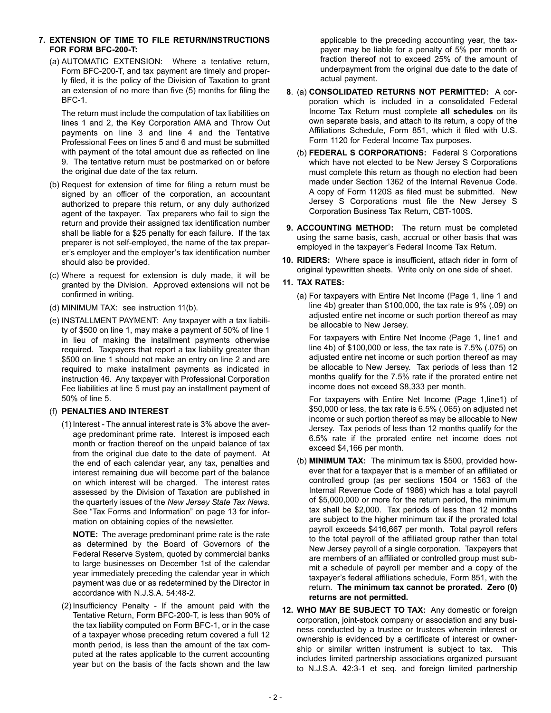#### **7. EXTENSION OF TIME TO FILE RETURN/INSTRUCTIONS FOR FORM BFC-200-T:**

(a) AUTOMATIC EXTENSION: Where a tentative return, Form BFC-200-T, and tax payment are timely and properly filed, it is the policy of the Division of Taxation to grant an extension of no more than five (5) months for filing the BFC-1.

The return must include the computation of tax liabilities on lines 1 and 2, the Key Corporation AMA and Throw Out payments on line 3 and line 4 and the Tentative Professional Fees on lines 5 and 6 and must be submitted with payment of the total amount due as reflected on line 9. The tentative return must be postmarked on or before the original due date of the tax return.

- (b) Request for extension of time for filing a return must be signed by an officer of the corporation, an accountant authorized to prepare this return, or any duly authorized agent of the taxpayer. Tax preparers who fail to sign the return and provide their assigned tax identification number shall be liable for a \$25 penalty for each failure. If the tax preparer is not self-employed, the name of the tax preparer's employer and the employer's tax identification number should also be provided.
- (c) Where a request for extension is duly made, it will be granted by the Division. Approved extensions will not be confirmed in writing.
- (d) MINIMUM TAX: see instruction 11(b).
- (e) INSTALLMENT PAYMENT: Any taxpayer with a tax liability of \$500 on line 1, may make a payment of 50% of line 1 in lieu of making the installment payments otherwise required. Taxpayers that report a tax liability greater than \$500 on line 1 should not make an entry on line 2 and are required to make installment payments as indicated in instruction 46. Any taxpayer with Professional Corporation Fee liabilities at line 5 must pay an installment payment of 50% of line 5.

#### (f) **PENALTIES AND INTEREST**

(1) Interest - The annual interest rate is 3% above the average predominant prime rate. Interest is imposed each month or fraction thereof on the unpaid balance of tax from the original due date to the date of payment. At the end of each calendar year, any tax, penalties and interest remaining due will become part of the balance on which interest will be charged. The interest rates assessed by the Division of Taxation are published in the quarterly issues of the *New Jersey State Tax News*. See "Tax Forms and Information" on page 13 for information on obtaining copies of the newsletter.

**NOTE:** The average predominant prime rate is the rate as determined by the Board of Governors of the Federal Reserve System, quoted by commercial banks to large businesses on December 1st of the calendar year immediately preceding the calendar year in which payment was due or as redetermined by the Director in accordance with N.J.S.A. 54:48-2.

(2) Insufficiency Penalty - If the amount paid with the Tentative Return, Form BFC-200-T, is less than 90% of the tax liability computed on Form BFC-1, or in the case of a taxpayer whose preceding return covered a full 12 month period, is less than the amount of the tax computed at the rates applicable to the current accounting year but on the basis of the facts shown and the law applicable to the preceding accounting year, the taxpayer may be liable for a penalty of 5% per month or fraction thereof not to exceed 25% of the amount of underpayment from the original due date to the date of actual payment.

- **8**. (a) **CONSOLIDATED RETURNS NOT PERMITTED:** A corporation which is included in a consolidated Federal Income Tax Return must complete **all schedules** on its own separate basis, and attach to its return, a copy of the Affiliations Schedule, Form 851, which it filed with U.S. Form 1120 for Federal Income Tax purposes.
	- (b) **FEDERAL S CORPORATIONS:** Federal S Corporations which have not elected to be New Jersey S Corporations must complete this return as though no election had been made under Section 1362 of the Internal Revenue Code. A copy of Form 1120S as filed must be submitted. New Jersey S Corporations must file the New Jersey S Corporation Business Tax Return, CBT-100S.
- **9. ACCOUNTING METHOD:** The return must be completed using the same basis, cash, accrual or other basis that was employed in the taxpayer's Federal Income Tax Return.
- **10. RIDERS:** Where space is insufficient, attach rider in form of original typewritten sheets. Write only on one side of sheet.

#### **11. TAX RATES:**

(a) For taxpayers with Entire Net Income (Page 1, line 1 and line 4b) greater than \$100,000, the tax rate is 9% (.09) on adjusted entire net income or such portion thereof as may be allocable to New Jersey.

For taxpayers with Entire Net Income (Page 1, line1 and line 4b) of \$100,000 or less, the tax rate is 7.5% (.075) on adjusted entire net income or such portion thereof as may be allocable to New Jersey. Tax periods of less than 12 months qualify for the 7.5% rate if the prorated entire net income does not exceed \$8,333 per month.

For taxpayers with Entire Net Income (Page 1,line1) of \$50,000 or less, the tax rate is 6.5% (.065) on adjusted net income or such portion thereof as may be allocable to New Jersey. Tax periods of less than 12 months qualify for the 6.5% rate if the prorated entire net income does not exceed \$4,166 per month.

- (b) **MINIMUM TAX:** The minimum tax is \$500, provided however that for a taxpayer that is a member of an affiliated or controlled group (as per sections 1504 or 1563 of the Internal Revenue Code of 1986) which has a total payroll of \$5,000,000 or more for the return period, the minimum tax shall be \$2,000. Tax periods of less than 12 months are subject to the higher minimum tax if the prorated total payroll exceeds \$416,667 per month. Total payroll refers to the total payroll of the affiliated group rather than total New Jersey payroll of a single corporation. Taxpayers that are members of an affiliated or controlled group must submit a schedule of payroll per member and a copy of the taxpayer's federal affiliations schedule, Form 851, with the return. **The minimum tax cannot be prorated. Zero (0) returns are not permitted.**
- **12. WHO MAY BE SUBJECT TO TAX:** Any domestic or foreign corporation, joint-stock company or association and any business conducted by a trustee or trustees wherein interest or ownership is evidenced by a certificate of interest or ownership or similar written instrument is subject to tax. This includes limited partnership associations organized pursuant to N.J.S.A. 42:3-1 et seq. and foreign limited partnership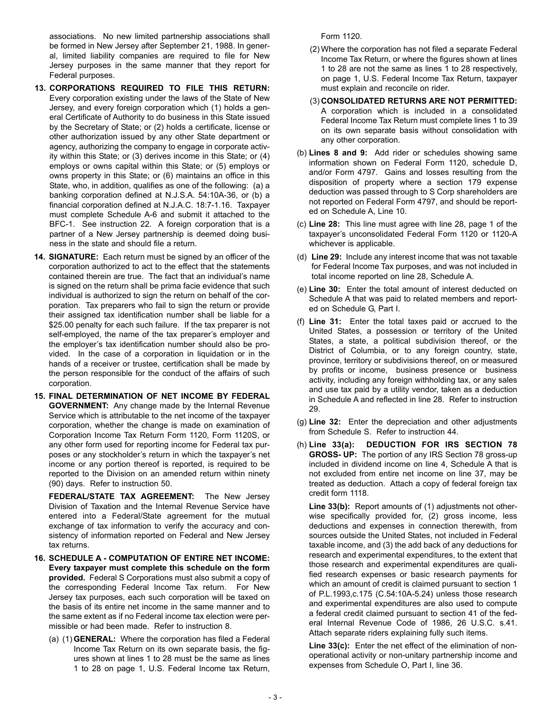associations. No new limited partnership associations shall be formed in New Jersey after September 21, 1988. In general, limited liability companies are required to file for New Jersey purposes in the same manner that they report for Federal purposes.

- **13. CORPORATIONS REQUIRED TO FILE THIS RETURN:** Every corporation existing under the laws of the State of New Jersey, and every foreign corporation which (1) holds a general Certificate of Authority to do business in this State issued by the Secretary of State; or (2) holds a certificate, license or other authorization issued by any other State department or agency, authorizing the company to engage in corporate activity within this State; or (3) derives income in this State; or (4) employs or owns capital within this State; or (5) employs or owns property in this State; or (6) maintains an office in this State, who, in addition, qualifies as one of the following: (a) a banking corporation defined at N.J.S.A. 54:10A-36, or (b) a financial corporation defined at N.J.A.C. 18:7-1.16. Taxpayer must complete Schedule A-6 and submit it attached to the BFC-1. See instruction 22. A foreign corporation that is a partner of a New Jersey partnership is deemed doing business in the state and should file a return.
- **14. SIGNATURE:** Each return must be signed by an officer of the corporation authorized to act to the effect that the statements contained therein are true. The fact that an individual's name is signed on the return shall be prima facie evidence that such individual is authorized to sign the return on behalf of the corporation. Tax preparers who fail to sign the return or provide their assigned tax identification number shall be liable for a \$25.00 penalty for each such failure. If the tax preparer is not self-employed, the name of the tax preparer's employer and the employer's tax identification number should also be provided. In the case of a corporation in liquidation or in the hands of a receiver or trustee, certification shall be made by the person responsible for the conduct of the affairs of such corporation.
- **15. FINAL DETERMINATION OF NET INCOME BY FEDERAL GOVERNMENT:** Any change made by the Internal Revenue Service which is attributable to the net income of the taxpayer corporation, whether the change is made on examination of Corporation Income Tax Return Form 1120, Form 1120S, or any other form used for reporting income for Federal tax purposes or any stockholder's return in which the taxpayer's net income or any portion thereof is reported, is required to be reported to the Division on an amended return within ninety (90) days. Refer to instruction 50.

**FEDERAL/STATE TAX AGREEMENT:** The New Jersey Division of Taxation and the Internal Revenue Service have entered into a Federal/State agreement for the mutual exchange of tax information to verify the accuracy and consistency of information reported on Federal and New Jersey tax returns.

- **16. SCHEDULE A COMPUTATION OF ENTIRE NET INCOME: Every taxpayer must complete this schedule on the form provided.** Federal S Corporations must also submit a copy of the corresponding Federal Income Tax return. For New Jersey tax purposes, each such corporation will be taxed on the basis of its entire net income in the same manner and to the same extent as if no Federal income tax election were permissible or had been made. Refer to instruction 8.
	- (a) (1) **GENERAL:** Where the corporation has filed a Federal Income Tax Return on its own separate basis, the figures shown at lines 1 to 28 must be the same as lines 1 to 28 on page 1, U.S. Federal Income tax Return,

Form 1120.

- (2) Where the corporation has not filed a separate Federal Income Tax Return, or where the figures shown at lines 1 to 28 are not the same as lines 1 to 28 respectively, on page 1, U.S. Federal Income Tax Return, taxpayer must explain and reconcile on rider.
- (3) **CONSOLIDATED RETURNS ARE NOT PERMITTED:** A corporation which is included in a consolidated Federal Income Tax Return must complete lines 1 to 39 on its own separate basis without consolidation with any other corporation.
- (b) **Lines 8 and 9:** Add rider or schedules showing same information shown on Federal Form 1120, schedule D, and/or Form 4797. Gains and losses resulting from the disposition of property where a section 179 expense deduction was passed through to S Corp shareholders are not reported on Federal Form 4797, and should be reported on Schedule A, Line 10.
- (c) **Line 28:** This line must agree with line 28, page 1 of the taxpayer's unconsolidated Federal Form 1120 or 1120-A whichever is applicable.
- (d) **Line 29:** Include any interest income that was not taxable for Federal Income Tax purposes, and was not included in total income reported on line 28, Schedule A.
- (e) **Line 30:** Enter the total amount of interest deducted on Schedule A that was paid to related members and reported on Schedule G, Part I.
- (f) **Line 31:** Enter the total taxes paid or accrued to the United States, a possession or territory of the United States, a state, a political subdivision thereof, or the District of Columbia, or to any foreign country, state, province, territory or subdivisions thereof, on or measured by profits or income, business presence or business activity, including any foreign withholding tax, or any sales and use tax paid by a utility vendor, taken as a deduction in Schedule A and reflected in line 28. Refer to instruction 29.
- (g) **Line 32:** Enter the depreciation and other adjustments from Schedule S. Refer to instruction 44.
- (h) **Line 33(a): DEDUCTION FOR IRS SECTION 78 GROSS- UP:** The portion of any IRS Section 78 gross-up included in dividend income on line 4, Schedule A that is not excluded from entire net income on line 37, may be treated as deduction. Attach a copy of federal foreign tax credit form 1118.

**Line 33(b):** Report amounts of (1) adjustments not otherwise specifically provided for, (2) gross income, less deductions and expenses in connection therewith, from sources outside the United States, not included in Federal taxable income, and (3) the add back of any deductions for research and experimental expenditures, to the extent that those research and experimental expenditures are qualified research expenses or basic research payments for which an amount of credit is claimed pursuant to section 1 of P.L.1993,c.175 (C.54:10A-5.24) unless those research and experimental expenditures are also used to compute a federal credit claimed pursuant to section 41 of the federal Internal Revenue Code of 1986, 26 U.S.C. s.41. Attach separate riders explaining fully such items.

**Line 33(c):** Enter the net effect of the elimination of nonoperational activity or non-unitary partnership income and expenses from Schedule O, Part I, line 36.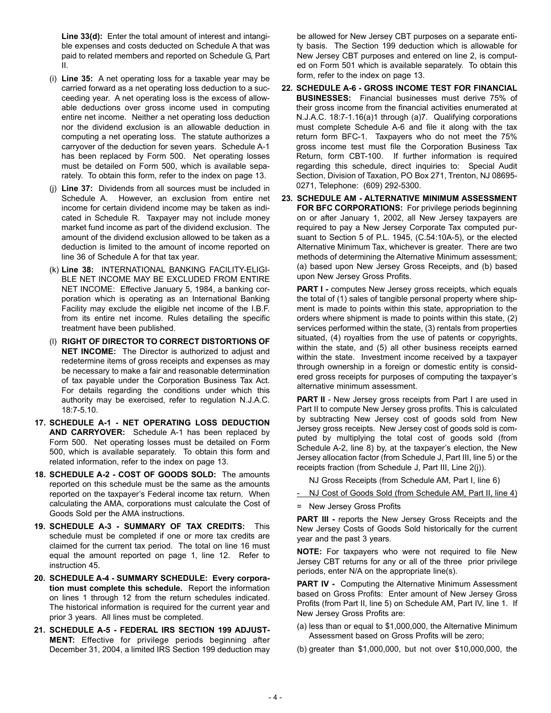**Line 33(d):** Enter the total amount of interest and intangible expenses and costs deducted on Schedule A that was paid to related members and reported on Schedule G, Part II.

- (i) **Line 35:** A net operating loss for a taxable year may be carried forward as a net operating loss deduction to a succeeding year. A net operating loss is the excess of allowable deductions over gross income used in computing entire net income. Neither a net operating loss deduction nor the dividend exclusion is an allowable deduction in computing a net operating loss. The statute authorizes a carryover of the deduction for seven years. Schedule A-1 has been replaced by Form 500. Net operating losses must be detailed on Form 500, which is available separately. To obtain this form, refer to the index on page 13.
- (j) **Line 37:** Dividends from all sources must be included in Schedule A. However, an exclusion from entire net income for certain dividend income may be taken as indicated in Schedule R. Taxpayer may not include money market fund income as part of the dividend exclusion. The amount of the dividend exclusion allowed to be taken as a deduction is limited to the amount of income reported on line 36 of Schedule A for that tax year.
- (k) **Line 38:** INTERNATIONAL BANKING FACILITY-ELIGI-BLE NET INCOME MAY BE EXCLUDED FROM ENTIRE NET INCOME: Effective January 5, 1984, a banking corporation which is operating as an International Banking Facility may exclude the eligible net income of the I.B.F. from its entire net income. Rules detailing the specific treatment have been published.
- (l) **RIGHT OF DIRECTOR TO CORRECT DISTORTIONS OF NET INCOME:** The Director is authorized to adjust and redetermine items of gross receipts and expenses as may be necessary to make a fair and reasonable determination of tax payable under the Corporation Business Tax Act. For details regarding the conditions under which this authority may be exercised, refer to regulation N.J.A.C. 18:7-5.10.
- **17. SCHEDULE A-1 NET OPERATING LOSS DEDUCTION AND CARRYOVER:** Schedule A-1 has been replaced by Form 500. Net operating losses must be detailed on Form 500, which is available separately. To obtain this form and related information, refer to the index on page 13.
- **18. SCHEDULE A-2 COST OF GOODS SOLD:** The amounts reported on this schedule must be the same as the amounts reported on the taxpayer's Federal income tax return. When calculating the AMA, corporations must calculate the Cost of Goods Sold per the AMA instructions.
- **19. SCHEDULE A-3 SUMMARY OF TAX CREDITS:** This schedule must be completed if one or more tax credits are claimed for the current tax period. The total on line 16 must equal the amount reported on page 1, line 12. Refer to instruction 45.
- **20. SCHEDULE A-4 SUMMARY SCHEDULE: Every corporation must complete this schedule.** Report the information on lines 1 through 12 from the return schedules indicated. The historical information is required for the current year and prior 3 years. All lines must be completed.
- **21. SCHEDULE A-5 FEDERAL IRS SECTION 199 ADJUST-MENT:** Effective for privilege periods beginning after December 31, 2004, a limited IRS Section 199 deduction may

be allowed for New Jersey CBT purposes on a separate entity basis. The Section 199 deduction which is allowable for New Jersey CBT purposes and entered on line 2, is computed on Form 501 which is available separately. To obtain this form, refer to the index on page 13.

- **22. SCHEDULE A-6 GROSS INCOME TEST FOR FINANCIAL BUSINESSES:** Financial businesses must derive 75% of their gross income from the financial activities enumerated at N.J.A.C. 18:7-1.16(a)1 through (a)7. Qualifying corporations must complete Schedule A-6 and file it along with the tax return form BFC-1. Taxpayers who do not meet the 75% gross income test must file the Corporation Business Tax Return, form CBT-100. If further information is required regarding this schedule, direct inquiries to: Special Audit Section, Division of Taxation, PO Box 271, Trenton, NJ 08695- 0271, Telephone: (609) 292-5300.
- **23. SCHEDULE AM ALTERNATIVE MINIMUM ASSESSMENT FOR BFC CORPORATIONS:** For privilege periods beginning on or after January 1, 2002, all New Jersey taxpayers are required to pay a New Jersey Corporate Tax computed pursuant to Section 5 of P.L. 1945, (C.54:10A-5), or the elected Alternative Minimum Tax, whichever is greater. There are two methods of determining the Alternative Minimum assessment; (a) based upon New Jersey Gross Receipts, and (b) based upon New Jersey Gross Profits.

**PART I -** computes New Jersey gross receipts, which equals the total of (1) sales of tangible personal property where shipment is made to points within this state, appropriation to the orders where shipment is made to points within this state, (2) services performed within the state, (3) rentals from properties situated, (4) royalties from the use of patents or copyrights, within the state, and (5) all other business receipts earned within the state. Investment income received by a taxpayer through ownership in a foreign or domestic entity is considered gross receipts for purposes of computing the taxpayer's alternative minimum assessment.

**PART II** - New Jersey gross receipts from Part I are used in Part II to compute New Jersey gross profits. This is calculated by subtracting New Jersey cost of goods sold from New Jersey gross receipts. New Jersey cost of goods sold is computed by multiplying the total cost of goods sold (from Schedule A-2, line 8) by, at the taxpayer's election, the New Jersey allocation factor (from Schedule J, Part III, line 5) or the receipts fraction (from Schedule J, Part III, Line 2(j)).

NJ Gross Receipts (from Schedule AM, Part I, line 6)

- NJ Cost of Goods Sold (from Schedule AM, Part II, line 4)
- = New Jersey Gross Profits

**PART III -** reports the New Jersey Gross Receipts and the New Jersey Costs of Goods Sold historically for the current year and the past 3 years.

**NOTE:** For taxpayers who were not required to file New Jersey CBT returns for any or all of the three prior privilege periods, enter N/A on the appropriate line(s).

**PART IV -** Computing the Alternative Minimum Assessment based on Gross Profits: Enter amount of New Jersey Gross Profits (from Part II, line 5) on Schedule AM, Part IV, line 1. If New Jersey Gross Profits are:

- (a) less than or equal to \$1,000,000, the Alternative Minimum Assessment based on Gross Profits will be zero;
- (b) greater than \$1,000,000, but not over \$10,000,000, the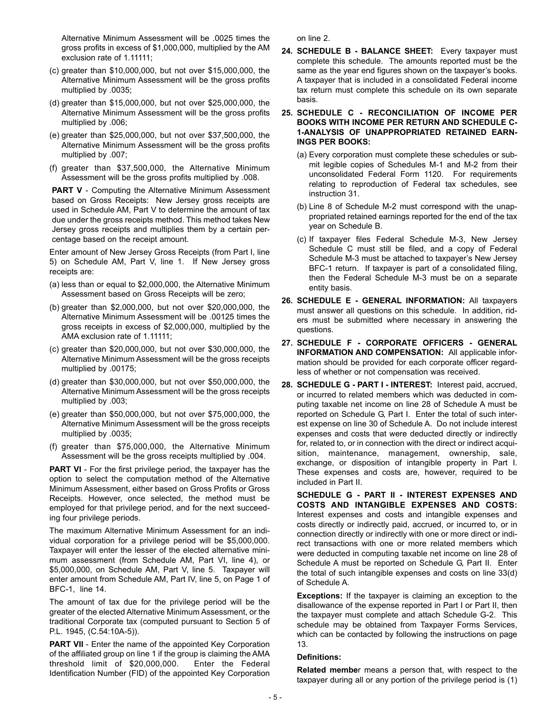Alternative Minimum Assessment will be .0025 times the gross profits in excess of \$1,000,000, multiplied by the AM exclusion rate of 1.11111;

- (c) greater than \$10,000,000, but not over \$15,000,000, the Alternative Minimum Assessment will be the gross profits multiplied by .0035;
- (d) greater than \$15,000,000, but not over \$25,000,000, the Alternative Minimum Assessment will be the gross profits multiplied by .006;
- (e) greater than \$25,000,000, but not over \$37,500,000, the Alternative Minimum Assessment will be the gross profits multiplied by .007;
- (f) greater than \$37,500,000, the Alternative Minimum Assessment will be the gross profits multiplied by .008.

**PART V** - Computing the Alternative Minimum Assessment based on Gross Receipts: New Jersey gross receipts are used in Schedule AM, Part V to determine the amount of tax due under the gross receipts method. This method takes New Jersey gross receipts and multiplies them by a certain percentage based on the receipt amount.

Enter amount of New Jersey Gross Receipts (from Part I, line 5) on Schedule AM, Part V, line 1. If New Jersey gross receipts are:

- (a) less than or equal to \$2,000,000, the Alternative Minimum Assessment based on Gross Receipts will be zero;
- (b) greater than \$2,000,000, but not over \$20,000,000, the Alternative Minimum Assessment will be .00125 times the gross receipts in excess of \$2,000,000, multiplied by the AMA exclusion rate of 1.11111;
- (c) greater than \$20,000,000, but not over \$30,000,000, the Alternative Minimum Assessment will be the gross receipts multiplied by .00175;
- (d) greater than \$30,000,000, but not over \$50,000,000, the Alternative Minimum Assessment will be the gross receipts multiplied by .003;
- (e) greater than \$50,000,000, but not over \$75,000,000, the Alternative Minimum Assessment will be the gross receipts multiplied by .0035;
- (f) greater than \$75,000,000, the Alternative Minimum Assessment will be the gross receipts multiplied by .004.

**PART VI** - For the first privilege period, the taxpayer has the option to select the computation method of the Alternative Minimum Assessment, either based on Gross Profits or Gross Receipts. However, once selected, the method must be employed for that privilege period, and for the next succeeding four privilege periods.

The maximum Alternative Minimum Assessment for an individual corporation for a privilege period will be \$5,000,000. Taxpayer will enter the lesser of the elected alternative minimum assessment (from Schedule AM, Part VI, line 4), or \$5,000,000, on Schedule AM, Part V, line 5. Taxpayer will enter amount from Schedule AM, Part IV, line 5, on Page 1 of BFC-1, line 14.

The amount of tax due for the privilege period will be the greater of the elected Alternative Minimum Assessment, or the traditional Corporate tax (computed pursuant to Section 5 of P.L. 1945, (C.54:10A-5)).

**PART VII** - Enter the name of the appointed Key Corporation of the affiliated group on line 1 if the group is claiming the AMA threshold limit of \$20,000,000. Enter the Federal Identification Number (FID) of the appointed Key Corporation on line 2.

**24. SCHEDULE B - BALANCE SHEET:** Every taxpayer must complete this schedule. The amounts reported must be the same as the year end figures shown on the taxpayer's books. A taxpayer that is included in a consolidated Federal income tax return must complete this schedule on its own separate basis.

#### **25. SCHEDULE C - RECONCILIATION OF INCOME PER BOOKS WITH INCOME PER RETURN AND SCHEDULE C-1-ANALYSIS OF UNAPPROPRIATED RETAINED EARN-INGS PER BOOKS:**

- (a) Every corporation must complete these schedules or submit legible copies of Schedules M-1 and M-2 from their unconsolidated Federal Form 1120. For requirements relating to reproduction of Federal tax schedules, see instruction 31.
- (b) Line 8 of Schedule M-2 must correspond with the unappropriated retained earnings reported for the end of the tax year on Schedule B.
- (c) If taxpayer files Federal Schedule M-3, New Jersey Schedule C must still be filed, and a copy of Federal Schedule M-3 must be attached to taxpayer's New Jersey BFC-1 return. If taxpayer is part of a consolidated filing, then the Federal Schedule M-3 must be on a separate entity basis.
- **26. SCHEDULE E GENERAL INFORMATION:** All taxpayers must answer all questions on this schedule. In addition, riders must be submitted where necessary in answering the questions.
- **27. SCHEDULE F CORPORATE OFFICERS GENERAL INFORMATION AND COMPENSATION:** All applicable information should be provided for each corporate officer regardless of whether or not compensation was received.
- **28. SCHEDULE G PART I INTEREST:** Interest paid, accrued, or incurred to related members which was deducted in computing taxable net income on line 28 of Schedule A must be reported on Schedule G, Part I. Enter the total of such interest expense on line 30 of Schedule A. Do not include interest expenses and costs that were deducted directly or indirectly for, related to, or in connection with the direct or indirect acquisition, maintenance, management, ownership, sale, exchange, or disposition of intangible property in Part I. These expenses and costs are, however, required to be included in Part II.

**SCHEDULE G - PART II - INTEREST EXPENSES AND COSTS AND INTANGIBLE EXPENSES AND COSTS:** Interest expenses and costs and intangible expenses and costs directly or indirectly paid, accrued, or incurred to, or in connection directly or indirectly with one or more direct or indirect transactions with one or more related members which were deducted in computing taxable net income on line 28 of Schedule A must be reported on Schedule G, Part II. Enter the total of such intangible expenses and costs on line 33(d) of Schedule A.

**Exceptions:** If the taxpayer is claiming an exception to the disallowance of the expense reported in Part I or Part II, then the taxpayer must complete and attach Schedule G-2. This schedule may be obtained from Taxpayer Forms Services, which can be contacted by following the instructions on page 13.

#### **Definitions:**

**Related membe**r means a person that, with respect to the taxpayer during all or any portion of the privilege period is (1)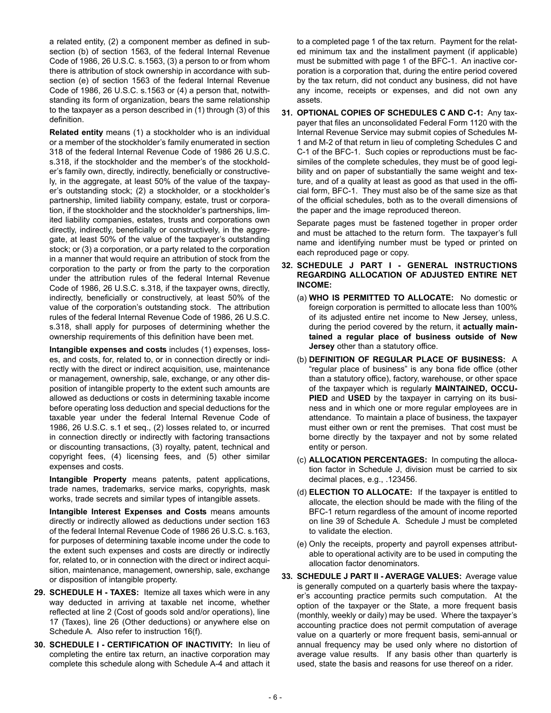a related entity, (2) a component member as defined in subsection (b) of section 1563, of the federal Internal Revenue Code of 1986, 26 U.S.C. s.1563, (3) a person to or from whom there is attribution of stock ownership in accordance with subsection (e) of section 1563 of the federal Internal Revenue Code of 1986, 26 U.S.C. s.1563 or (4) a person that, notwithstanding its form of organization, bears the same relationship to the taxpayer as a person described in (1) through (3) of this definition.

**Related entity** means (1) a stockholder who is an individual or a member of the stockholder's family enumerated in section 318 of the federal Internal Revenue Code of 1986 26 U.S.C. s.318, if the stockholder and the member's of the stockholder's family own, directly, indirectly, beneficially or constructively, in the aggregate, at least 50% of the value of the taxpayer's outstanding stock; (2) a stockholder, or a stockholder's partnership, limited liability company, estate, trust or corporation, if the stockholder and the stockholder's partnerships, limited liability companies, estates, trusts and corporations own directly, indirectly, beneficially or constructively, in the aggregate, at least 50% of the value of the taxpayer's outstanding stock; or (3) a corporation, or a party related to the corporation in a manner that would require an attribution of stock from the corporation to the party or from the party to the corporation under the attribution rules of the federal Internal Revenue Code of 1986, 26 U.S.C. s.318, if the taxpayer owns, directly, indirectly, beneficially or constructively, at least 50% of the value of the corporation's outstanding stock. The attribution rules of the federal Internal Revenue Code of 1986, 26 U.S.C. s.318, shall apply for purposes of determining whether the ownership requirements of this definition have been met.

**Intangible expenses and costs** includes (1) expenses, losses, and costs, for, related to, or in connection directly or indirectly with the direct or indirect acquisition, use, maintenance or management, ownership, sale, exchange, or any other disposition of intangible property to the extent such amounts are allowed as deductions or costs in determining taxable income before operating loss deduction and special deductions for the taxable year under the federal Internal Revenue Code of 1986, 26 U.S.C. s.1 et seq., (2) losses related to, or incurred in connection directly or indirectly with factoring transactions or discounting transactions, (3) royalty, patent, technical and copyright fees, (4) licensing fees, and (5) other similar expenses and costs.

**Intangible Property** means patents, patent applications, trade names, trademarks, service marks, copyrights, mask works, trade secrets and similar types of intangible assets.

**Intangible Interest Expenses and Costs** means amounts directly or indirectly allowed as deductions under section 163 of the federal Internal Revenue Code of 1986 26 U.S.C. s.163, for purposes of determining taxable income under the code to the extent such expenses and costs are directly or indirectly for, related to, or in connection with the direct or indirect acquisition, maintenance, management, ownership, sale, exchange or disposition of intangible property.

- **29. SCHEDULE H TAXES:** Itemize all taxes which were in any way deducted in arriving at taxable net income, whether reflected at line 2 (Cost of goods sold and/or operations), line 17 (Taxes), line 26 (Other deductions) or anywhere else on Schedule A. Also refer to instruction 16(f).
- **30. SCHEDULE I CERTIFICATION OF INACTIVITY:** In lieu of completing the entire tax return, an inactive corporation may complete this schedule along with Schedule A-4 and attach it

to a completed page 1 of the tax return. Payment for the related minimum tax and the installment payment (if applicable) must be submitted with page 1 of the BFC-1. An inactive corporation is a corporation that, during the entire period covered by the tax return, did not conduct any business, did not have any income, receipts or expenses, and did not own any assets.

**31. OPTIONAL COPIES OF SCHEDULES C AND C-1:** Any taxpayer that files an unconsolidated Federal Form 1120 with the Internal Revenue Service may submit copies of Schedules M-1 and M-2 of that return in lieu of completing Schedules C and C-1 of the BFC-1. Such copies or reproductions must be facsimiles of the complete schedules, they must be of good legibility and on paper of substantially the same weight and texture, and of a quality at least as good as that used in the official form, BFC-1. They must also be of the same size as that of the official schedules, both as to the overall dimensions of the paper and the image reproduced thereon.

Separate pages must be fastened together in proper order and must be attached to the return form. The taxpayer's full name and identifying number must be typed or printed on each reproduced page or copy.

- **32. SCHEDULE J PART I GENERAL INSTRUCTIONS REGARDING ALLOCATION OF ADJUSTED ENTIRE NET INCOME:**
	- (a) **WHO IS PERMITTED TO ALLOCATE:** No domestic or foreign corporation is permitted to allocate less than 100% of its adjusted entire net income to New Jersey, unless, during the period covered by the return, it **actually maintained a regular place of business outside of New Jersey** other than a statutory office.
	- (b) **DEFINITION OF REGULAR PLACE OF BUSINESS:** A "regular place of business" is any bona fide office (other than a statutory office), factory, warehouse, or other space of the taxpayer which is regularly **MAINTAINED, OCCU-PIED** and **USED** by the taxpayer in carrying on its business and in which one or more regular employees are in attendance. To maintain a place of business, the taxpayer must either own or rent the premises. That cost must be borne directly by the taxpayer and not by some related entity or person.
	- (c) **ALLOCATION PERCENTAGES:** In computing the allocation factor in Schedule J, division must be carried to six decimal places, e.g., .123456.
	- (d) **ELECTION TO ALLOCATE:** If the taxpayer is entitled to allocate, the election should be made with the filing of the BFC-1 return regardless of the amount of income reported on line 39 of Schedule A. Schedule J must be completed to validate the election.
	- (e) Only the receipts, property and payroll expenses attributable to operational activity are to be used in computing the allocation factor denominators.
- **33. SCHEDULE J PART II AVERAGE VALUES:** Average value is generally computed on a quarterly basis where the taxpayer's accounting practice permits such computation. At the option of the taxpayer or the State, a more frequent basis (monthly, weekly or daily) may be used. Where the taxpayer's accounting practice does not permit computation of average value on a quarterly or more frequent basis, semi-annual or annual frequency may be used only where no distortion of average value results. If any basis other than quarterly is used, state the basis and reasons for use thereof on a rider.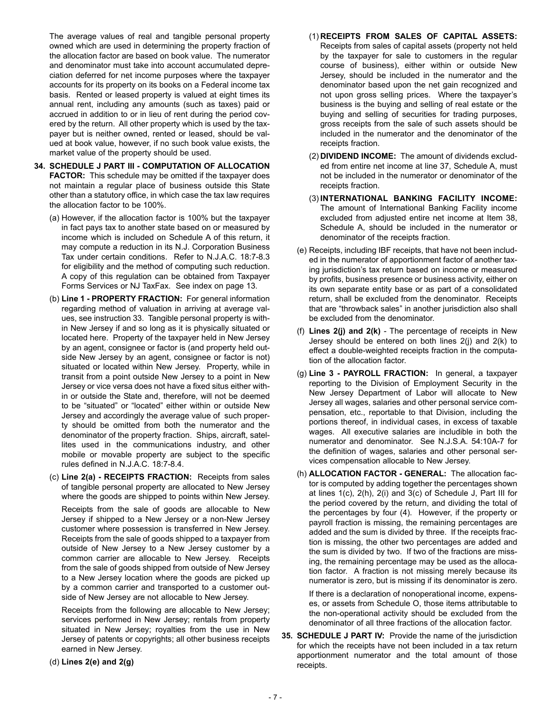The average values of real and tangible personal property owned which are used in determining the property fraction of the allocation factor are based on book value. The numerator and denominator must take into account accumulated depreciation deferred for net income purposes where the taxpayer accounts for its property on its books on a Federal income tax basis. Rented or leased property is valued at eight times its annual rent, including any amounts (such as taxes) paid or accrued in addition to or in lieu of rent during the period covered by the return. All other property which is used by the taxpayer but is neither owned, rented or leased, should be valued at book value, however, if no such book value exists, the market value of the property should be used.

- **34. SCHEDULE J PART III COMPUTATION OF ALLOCATION FACTOR:** This schedule may be omitted if the taxpayer does not maintain a regular place of business outside this State other than a statutory office, in which case the tax law requires the allocation factor to be 100%.
	- (a) However, if the allocation factor is 100% but the taxpayer in fact pays tax to another state based on or measured by income which is included on Schedule A of this return, it may compute a reduction in its N.J. Corporation Business Tax under certain conditions. Refer to N.J.A.C. 18:7-8.3 for eligibility and the method of computing such reduction. A copy of this regulation can be obtained from Taxpayer Forms Services or NJ TaxFax. See index on page 13.
	- (b) **Line 1 PROPERTY FRACTION:** For general information regarding method of valuation in arriving at average values, see instruction 33. Tangible personal property is within New Jersey if and so long as it is physically situated or located here. Property of the taxpayer held in New Jersey by an agent, consignee or factor is (and property held outside New Jersey by an agent, consignee or factor is not) situated or located within New Jersey. Property, while in transit from a point outside New Jersey to a point in New Jersey or vice versa does not have a fixed situs either within or outside the State and, therefore, will not be deemed to be "situated" or "located" either within or outside New Jersey and accordingly the average value of such property should be omitted from both the numerator and the denominator of the property fraction. Ships, aircraft, satellites used in the communications industry, and other mobile or movable property are subject to the specific rules defined in N.J.A.C. 18:7-8.4.
	- (c) **Line 2(a) RECEIPTS FRACTION:** Receipts from sales of tangible personal property are allocated to New Jersey where the goods are shipped to points within New Jersey.

Receipts from the sale of goods are allocable to New Jersey if shipped to a New Jersey or a non-New Jersey customer where possession is transferred in New Jersey. Receipts from the sale of goods shipped to a taxpayer from outside of New Jersey to a New Jersey customer by a common carrier are allocable to New Jersey. Receipts from the sale of goods shipped from outside of New Jersey to a New Jersey location where the goods are picked up by a common carrier and transported to a customer outside of New Jersey are not allocable to New Jersey.

Receipts from the following are allocable to New Jersey; services performed in New Jersey; rentals from property situated in New Jersey; royalties from the use in New Jersey of patents or copyrights; all other business receipts earned in New Jersey.

(d) **Lines 2(e) and 2(g)**

- (1) **RECEIPTS FROM SALES OF CAPITAL ASSETS:** Receipts from sales of capital assets (property not held by the taxpayer for sale to customers in the regular course of business), either within or outside New Jersey, should be included in the numerator and the denominator based upon the net gain recognized and not upon gross selling prices. Where the taxpayer's business is the buying and selling of real estate or the buying and selling of securities for trading purposes, gross receipts from the sale of such assets should be included in the numerator and the denominator of the receipts fraction.
- (2) **DIVIDEND INCOME:** The amount of dividends excluded from entire net income at line 37, Schedule A, must not be included in the numerator or denominator of the receipts fraction.
- (3) **INTERNATIONAL BANKING FACILITY INCOME:** The amount of International Banking Facility income excluded from adjusted entire net income at Item 38, Schedule A, should be included in the numerator or denominator of the receipts fraction.
- (e) Receipts, including IBF receipts, that have not been included in the numerator of apportionment factor of another taxing jurisdiction's tax return based on income or measured by profits, business presence or business activity, either on its own separate entity base or as part of a consolidated return, shall be excluded from the denominator. Receipts that are "throwback sales" in another jurisdiction also shall be excluded from the denominator.
- (f) **Lines 2(j) and 2(k)**  The percentage of receipts in New Jersey should be entered on both lines 2(j) and 2(k) to effect a double-weighted receipts fraction in the computation of the allocation factor.
- (g) **Line 3 PAYROLL FRACTION:** In general, a taxpayer reporting to the Division of Employment Security in the New Jersey Department of Labor will allocate to New Jersey all wages, salaries and other personal service compensation, etc., reportable to that Division, including the portions thereof, in individual cases, in excess of taxable wages. All executive salaries are includible in both the numerator and denominator. See N.J.S.A. 54:10A-7 for the definition of wages, salaries and other personal services compensation allocable to New Jersey.
- (h) **ALLOCATION FACTOR GENERAL:** The allocation factor is computed by adding together the percentages shown at lines 1(c), 2(h), 2(i) and 3(c) of Schedule J, Part III for the period covered by the return, and dividing the total of the percentages by four (4). However, if the property or payroll fraction is missing, the remaining percentages are added and the sum is divided by three. If the receipts fraction is missing, the other two percentages are added and the sum is divided by two. If two of the fractions are missing, the remaining percentage may be used as the allocation factor. A fraction is not missing merely because its numerator is zero, but is missing if its denominator is zero.

If there is a declaration of nonoperational income, expenses, or assets from Schedule O, those items attributable to the non-operational activity should be excluded from the denominator of all three fractions of the allocation factor.

**35. SCHEDULE J PART IV:** Provide the name of the jurisdiction for which the receipts have not been included in a tax return apportionment numerator and the total amount of those receipts.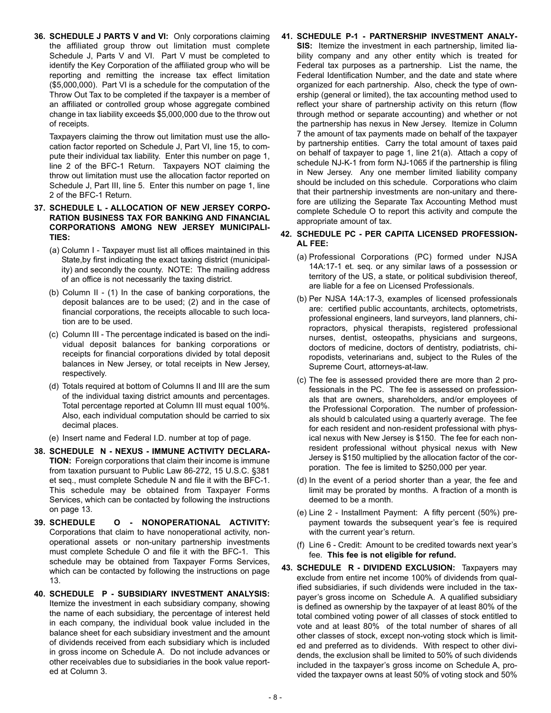**36. SCHEDULE J PARTS V and VI:** Only corporations claiming the affiliated group throw out limitation must complete Schedule J, Parts V and VI. Part V must be completed to identify the Key Corporation of the affiliated group who will be reporting and remitting the increase tax effect limitation (\$5,000,000). Part VI is a schedule for the computation of the Throw Out Tax to be completed if the taxpayer is a member of an affiliated or controlled group whose aggregate combined change in tax liability exceeds \$5,000,000 due to the throw out of receipts.

Taxpayers claiming the throw out limitation must use the allocation factor reported on Schedule J, Part VI, line 15, to compute their individual tax liability. Enter this number on page 1, line 2 of the BFC-1 Return. Taxpayers NOT claiming the throw out limitation must use the allocation factor reported on Schedule J, Part III, line 5. Enter this number on page 1, line 2 of the BFC-1 Return.

- **37. SCHEDULE L ALLOCATION OF NEW JERSEY CORPO-RATION BUSINESS TAX FOR BANKING AND FINANCIAL CORPORATIONS AMONG NEW JERSEY MUNICIPALI-TIES:**
	- (a) Column I Taxpayer must list all offices maintained in this State,by first indicating the exact taxing district (municipality) and secondly the county. NOTE: The mailing address of an office is not necessarily the taxing district.
	- (b) Column II (1) In the case of banking corporations, the deposit balances are to be used; (2) and in the case of financial corporations, the receipts allocable to such location are to be used.
	- (c) Column III The percentage indicated is based on the individual deposit balances for banking corporations or receipts for financial corporations divided by total deposit balances in New Jersey, or total receipts in New Jersey, respectively.
	- (d) Totals required at bottom of Columns II and III are the sum of the individual taxing district amounts and percentages. Total percentage reported at Column III must equal 100%. Also, each individual computation should be carried to six decimal places.
	- (e) Insert name and Federal I.D. number at top of page.
- **38. SCHEDULE N NEXUS IMMUNE ACTIVITY DECLARA-TION:** Foreign corporations that claim their income is immune from taxation pursuant to Public Law 86-272, 15 U.S.C. §381 et seq., must complete Schedule N and file it with the BFC-1. This schedule may be obtained from Taxpayer Forms Services, which can be contacted by following the instructions on page 13.
- **39. SCHEDULE O NONOPERATIONAL ACTIVITY:** Corporations that claim to have nonoperational activity, nonoperational assets or non-unitary partnership investments must complete Schedule O and file it with the BFC-1. This schedule may be obtained from Taxpayer Forms Services, which can be contacted by following the instructions on page 13.
- **40. SCHEDULE P SUBSIDIARY INVESTMENT ANALYSIS:** Itemize the investment in each subsidiary company, showing the name of each subsidiary, the percentage of interest held in each company, the individual book value included in the balance sheet for each subsidiary investment and the amount of dividends received from each subsidiary which is included in gross income on Schedule A. Do not include advances or other receivables due to subsidiaries in the book value reported at Column 3.

**41. SCHEDULE P-1 - PARTNERSHIP INVESTMENT ANALY-SIS:** Itemize the investment in each partnership, limited liability company and any other entity which is treated for Federal tax purposes as a partnership. List the name, the Federal Identification Number, and the date and state where organized for each partnership. Also, check the type of ownership (general or limited), the tax accounting method used to reflect your share of partnership activity on this return (flow through method or separate accounting) and whether or not the partnership has nexus in New Jersey. Itemize in Column 7 the amount of tax payments made on behalf of the taxpayer by partnership entities. Carry the total amount of taxes paid on behalf of taxpayer to page 1, line 21(a). Attach a copy of schedule NJ-K-1 from form NJ-1065 if the partnership is filing in New Jersey. Any one member limited liability company should be included on this schedule. Corporations who claim that their partnership investments are non-unitary and therefore are utilizing the Separate Tax Accounting Method must complete Schedule O to report this activity and compute the appropriate amount of tax.

#### **42. SCHEDULE PC - PER CAPITA LICENSED PROFESSION-AL FEE:**

- (a) Professional Corporations (PC) formed under NJSA 14A:17-1 et. seq. or any similar laws of a possession or territory of the US, a state, or political subdivision thereof, are liable for a fee on Licensed Professionals.
- (b) Per NJSA 14A:17-3, examples of licensed professionals are: certified public accountants, architects, optometrists, professional engineers, land surveyors, land planners, chiropractors, physical therapists, registered professional nurses, dentist, osteopaths, physicians and surgeons, doctors of medicine, doctors of dentistry, podiatrists, chiropodists, veterinarians and, subject to the Rules of the Supreme Court, attorneys-at-law.
- (c) The fee is assessed provided there are more than 2 professionals in the PC. The fee is assessed on professionals that are owners, shareholders, and/or employees of the Professional Corporation. The number of professionals should b calculated using a quarterly average. The fee for each resident and non-resident professional with physical nexus with New Jersey is \$150. The fee for each nonresident professional without physical nexus with New Jersey is \$150 multiplied by the allocation factor of the corporation. The fee is limited to \$250,000 per year.
- (d) In the event of a period shorter than a year, the fee and limit may be prorated by months. A fraction of a month is deemed to be a month.
- (e) Line 2 Installment Payment: A fifty percent (50%) prepayment towards the subsequent year's fee is required with the current year's return.
- (f) Line 6 Credit: Amount to be credited towards next year's fee. **This fee is not eligible for refund.**
- **43. SCHEDULE R DIVIDEND EXCLUSION:** Taxpayers may exclude from entire net income 100% of dividends from qualified subsidiaries, if such dividends were included in the taxpayer's gross income on Schedule A. A qualified subsidiary is defined as ownership by the taxpayer of at least 80% of the total combined voting power of all classes of stock entitled to vote and at least 80% of the total number of shares of all other classes of stock, except non-voting stock which is limited and preferred as to dividends. With respect to other dividends, the exclusion shall be limited to 50% of such dividends included in the taxpayer's gross income on Schedule A, provided the taxpayer owns at least 50% of voting stock and 50%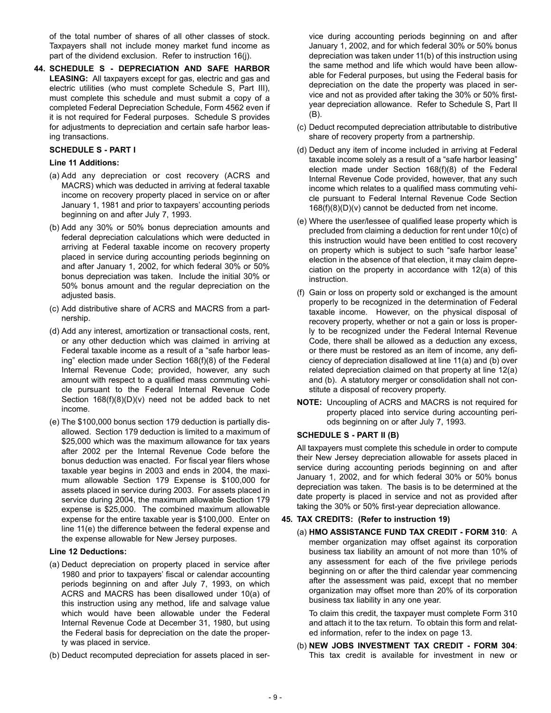of the total number of shares of all other classes of stock. Taxpayers shall not include money market fund income as part of the dividend exclusion. Refer to instruction 16(j).

**44. SCHEDULE S - DEPRECIATION AND SAFE HARBOR LEASING:** All taxpayers except for gas, electric and gas and electric utilities (who must complete Schedule S, Part III), must complete this schedule and must submit a copy of a completed Federal Depreciation Schedule, Form 4562 even if it is not required for Federal purposes. Schedule S provides for adjustments to depreciation and certain safe harbor leasing transactions.

#### **SCHEDULE S - PART I**

#### **Line 11 Additions:**

- (a) Add any depreciation or cost recovery (ACRS and MACRS) which was deducted in arriving at federal taxable income on recovery property placed in service on or after January 1, 1981 and prior to taxpayers' accounting periods beginning on and after July 7, 1993.
- (b) Add any 30% or 50% bonus depreciation amounts and federal depreciation calculations which were deducted in arriving at Federal taxable income on recovery property placed in service during accounting periods beginning on and after January 1, 2002, for which federal 30% or 50% bonus depreciation was taken. Include the initial 30% or 50% bonus amount and the regular depreciation on the adjusted basis.
- (c) Add distributive share of ACRS and MACRS from a partnership.
- (d) Add any interest, amortization or transactional costs, rent, or any other deduction which was claimed in arriving at Federal taxable income as a result of a "safe harbor leasing" election made under Section 168(f)(8) of the Federal Internal Revenue Code; provided, however, any such amount with respect to a qualified mass commuting vehicle pursuant to the Federal Internal Revenue Code Section  $168(f)(8)(D)(v)$  need not be added back to net income.
- (e) The \$100,000 bonus section 179 deduction is partially disallowed. Section 179 deduction is limited to a maximum of \$25,000 which was the maximum allowance for tax years after 2002 per the Internal Revenue Code before the bonus deduction was enacted. For fiscal year filers whose taxable year begins in 2003 and ends in 2004, the maximum allowable Section 179 Expense is \$100,000 for assets placed in service during 2003. For assets placed in service during 2004, the maximum allowable Section 179 expense is \$25,000. The combined maximum allowable expense for the entire taxable year is \$100,000. Enter on line 11(e) the difference between the federal expense and the expense allowable for New Jersey purposes.

#### **Line 12 Deductions:**

- (a) Deduct depreciation on property placed in service after 1980 and prior to taxpayers' fiscal or calendar accounting periods beginning on and after July 7, 1993, on which ACRS and MACRS has been disallowed under 10(a) of this instruction using any method, life and salvage value which would have been allowable under the Federal Internal Revenue Code at December 31, 1980, but using the Federal basis for depreciation on the date the property was placed in service.
- (b) Deduct recomputed depreciation for assets placed in ser-

vice during accounting periods beginning on and after January 1, 2002, and for which federal 30% or 50% bonus depreciation was taken under 11(b) of this instruction using the same method and life which would have been allowable for Federal purposes, but using the Federal basis for depreciation on the date the property was placed in service and not as provided after taking the 30% or 50% firstyear depreciation allowance. Refer to Schedule S, Part II (B).

- (c) Deduct recomputed depreciation attributable to distributive share of recovery property from a partnership.
- (d) Deduct any item of income included in arriving at Federal taxable income solely as a result of a "safe harbor leasing" election made under Section 168(f)(8) of the Federal Internal Revenue Code provided, however, that any such income which relates to a qualified mass commuting vehicle pursuant to Federal Internal Revenue Code Section 168(f)(8)(D)(v) cannot be deducted from net income.
- (e) Where the user/lessee of qualified lease property which is precluded from claiming a deduction for rent under 10(c) of this instruction would have been entitled to cost recovery on property which is subject to such "safe harbor lease" election in the absence of that election, it may claim depreciation on the property in accordance with 12(a) of this instruction.
- (f) Gain or loss on property sold or exchanged is the amount properly to be recognized in the determination of Federal taxable income. However, on the physical disposal of recovery property, whether or not a gain or loss is properly to be recognized under the Federal Internal Revenue Code, there shall be allowed as a deduction any excess, or there must be restored as an item of income, any deficiency of depreciation disallowed at line 11(a) and (b) over related depreciation claimed on that property at line 12(a) and (b). A statutory merger or consolidation shall not constitute a disposal of recovery property.
- **NOTE:** Uncoupling of ACRS and MACRS is not required for property placed into service during accounting periods beginning on or after July 7, 1993.

#### **SCHEDULE S - PART II (B)**

All taxpayers must complete this schedule in order to compute their New Jersey depreciation allowable for assets placed in service during accounting periods beginning on and after January 1, 2002, and for which federal 30% or 50% bonus depreciation was taken. The basis is to be determined at the date property is placed in service and not as provided after taking the 30% or 50% first-year depreciation allowance.

#### **45. TAX CREDITS: (Refer to instruction 19)**

(a) **HMO ASSISTANCE FUND TAX CREDIT - FORM 310**: A member organization may offset against its corporation business tax liability an amount of not more than 10% of any assessment for each of the five privilege periods beginning on or after the third calendar year commencing after the assessment was paid, except that no member organization may offset more than 20% of its corporation business tax liability in any one year.

To claim this credit, the taxpayer must complete Form 310 and attach it to the tax return. To obtain this form and related information, refer to the index on page 13.

(b) **NEW JOBS INVESTMENT TAX CREDIT - FORM 304**: This tax credit is available for investment in new or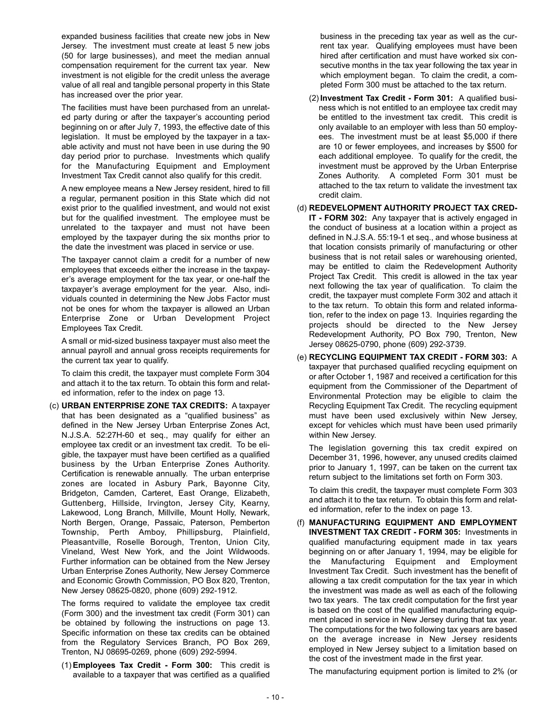expanded business facilities that create new jobs in New Jersey. The investment must create at least 5 new jobs (50 for large businesses), and meet the median annual compensation requirement for the current tax year. New investment is not eligible for the credit unless the average value of all real and tangible personal property in this State has increased over the prior year.

The facilities must have been purchased from an unrelated party during or after the taxpayer's accounting period beginning on or after July 7, 1993, the effective date of this legislation. It must be employed by the taxpayer in a taxable activity and must not have been in use during the 90 day period prior to purchase. Investments which qualify for the Manufacturing Equipment and Employment Investment Tax Credit cannot also qualify for this credit.

A new employee means a New Jersey resident, hired to fill a regular, permanent position in this State which did not exist prior to the qualified investment, and would not exist but for the qualified investment. The employee must be unrelated to the taxpayer and must not have been employed by the taxpayer during the six months prior to the date the investment was placed in service or use.

The taxpayer cannot claim a credit for a number of new employees that exceeds either the increase in the taxpayer's average employment for the tax year, or one-half the taxpayer's average employment for the year. Also, individuals counted in determining the New Jobs Factor must not be ones for whom the taxpayer is allowed an Urban Enterprise Zone or Urban Development Project Employees Tax Credit.

A small or mid-sized business taxpayer must also meet the annual payroll and annual gross receipts requirements for the current tax year to qualify.

To claim this credit, the taxpayer must complete Form 304 and attach it to the tax return. To obtain this form and related information, refer to the index on page 13.

(c) **URBAN ENTERPRISE ZONE TAX CREDITS:** A taxpayer that has been designated as a "qualified business" as defined in the New Jersey Urban Enterprise Zones Act, N.J.S.A. 52:27H-60 et seq., may qualify for either an employee tax credit or an investment tax credit. To be eligible, the taxpayer must have been certified as a qualified business by the Urban Enterprise Zones Authority. Certification is renewable annually. The urban enterprise zones are located in Asbury Park, Bayonne City, Bridgeton, Camden, Carteret, East Orange, Elizabeth, Guttenberg, Hillside, Irvington, Jersey City, Kearny, Lakewood, Long Branch, Millville, Mount Holly, Newark, North Bergen, Orange, Passaic, Paterson, Pemberton Township, Perth Amboy, Phillipsburg, Plainfield, Pleasantville, Roselle Borough, Trenton, Union City, Vineland, West New York, and the Joint Wildwoods. Further information can be obtained from the New Jersey Urban Enterprise Zones Authority, New Jersey Commerce and Economic Growth Commission, PO Box 820, Trenton, New Jersey 08625-0820, phone (609) 292-1912.

The forms required to validate the employee tax credit (Form 300) and the investment tax credit (Form 301) can be obtained by following the instructions on page 13. Specific information on these tax credits can be obtained from the Regulatory Services Branch, PO Box 269, Trenton, NJ 08695-0269, phone (609) 292-5994.

(1) **Employees Tax Credit - Form 300:** This credit is available to a taxpayer that was certified as a qualified

business in the preceding tax year as well as the current tax year. Qualifying employees must have been hired after certification and must have worked six consecutive months in the tax year following the tax year in which employment began. To claim the credit, a completed Form 300 must be attached to the tax return.

- (2) **Investment Tax Credit Form 301:** A qualified business which is not entitled to an employee tax credit may be entitled to the investment tax credit. This credit is only available to an employer with less than 50 employees. The investment must be at least \$5,000 if there are 10 or fewer employees, and increases by \$500 for each additional employee. To qualify for the credit, the investment must be approved by the Urban Enterprise Zones Authority. A completed Form 301 must be attached to the tax return to validate the investment tax credit claim.
- (d) **REDEVELOPMENT AUTHORITY PROJECT TAX CRED-IT - FORM 302:** Any taxpayer that is actively engaged in the conduct of business at a location within a project as defined in N.J.S.A. 55:19-1 et seq., and whose business at that location consists primarily of manufacturing or other business that is not retail sales or warehousing oriented, may be entitled to claim the Redevelopment Authority Project Tax Credit. This credit is allowed in the tax year next following the tax year of qualification. To claim the credit, the taxpayer must complete Form 302 and attach it to the tax return. To obtain this form and related information, refer to the index on page 13. Inquiries regarding the projects should be directed to the New Jersey Redevelopment Authority, PO Box 790, Trenton, New Jersey 08625-0790, phone (609) 292-3739.
- (e) **RECYCLING EQUIPMENT TAX CREDIT FORM 303:** A taxpayer that purchased qualified recycling equipment on or after October 1, 1987 and received a certification for this equipment from the Commissioner of the Department of Environmental Protection may be eligible to claim the Recycling Equipment Tax Credit. The recycling equipment must have been used exclusively within New Jersey, except for vehicles which must have been used primarily within New Jersey.

The legislation governing this tax credit expired on December 31, 1996, however, any unused credits claimed prior to January 1, 1997, can be taken on the current tax return subject to the limitations set forth on Form 303.

To claim this credit, the taxpayer must complete Form 303 and attach it to the tax return. To obtain this form and related information, refer to the index on page 13.

(f) **MANUFACTURING EQUIPMENT AND EMPLOYMENT INVESTMENT TAX CREDIT - FORM 305:** Investments in qualified manufacturing equipment made in tax years beginning on or after January 1, 1994, may be eligible for the Manufacturing Equipment and Employment Investment Tax Credit. Such investment has the benefit of allowing a tax credit computation for the tax year in which the investment was made as well as each of the following two tax years. The tax credit computation for the first year is based on the cost of the qualified manufacturing equipment placed in service in New Jersey during that tax year. The computations for the two following tax years are based on the average increase in New Jersey residents employed in New Jersey subject to a limitation based on the cost of the investment made in the first year.

The manufacturing equipment portion is limited to 2% (or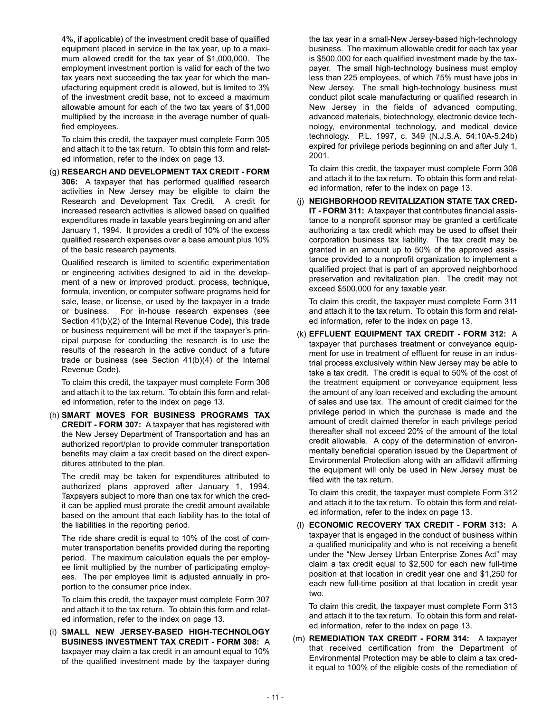4%, if applicable) of the investment credit base of qualified equipment placed in service in the tax year, up to a maximum allowed credit for the tax year of \$1,000,000. The employment investment portion is valid for each of the two tax years next succeeding the tax year for which the manufacturing equipment credit is allowed, but is limited to 3% of the investment credit base, not to exceed a maximum allowable amount for each of the two tax years of \$1,000 multiplied by the increase in the average number of qualified employees.

To claim this credit, the taxpayer must complete Form 305 and attach it to the tax return. To obtain this form and related information, refer to the index on page 13.

(g) **RESEARCH AND DEVELOPMENT TAX CREDIT - FORM 306:** A taxpayer that has performed qualified research activities in New Jersey may be eligible to claim the Research and Development Tax Credit. A credit for increased research activities is allowed based on qualified expenditures made in taxable years beginning on and after January 1, 1994. It provides a credit of 10% of the excess qualified research expenses over a base amount plus 10% of the basic research payments.

Qualified research is limited to scientific experimentation or engineering activities designed to aid in the development of a new or improved product, process, technique, formula, invention, or computer software programs held for sale, lease, or license, or used by the taxpayer in a trade or business. For in-house research expenses (see Section 41(b)(2) of the Internal Revenue Code), this trade or business requirement will be met if the taxpayer's principal purpose for conducting the research is to use the results of the research in the active conduct of a future trade or business (see Section 41(b)(4) of the Internal Revenue Code).

To claim this credit, the taxpayer must complete Form 306 and attach it to the tax return. To obtain this form and related information, refer to the index on page 13.

(h) **SMART MOVES FOR BUSINESS PROGRAMS TAX CREDIT - FORM 307:** A taxpayer that has registered with the New Jersey Department of Transportation and has an authorized report/plan to provide commuter transportation benefits may claim a tax credit based on the direct expenditures attributed to the plan.

The credit may be taken for expenditures attributed to authorized plans approved after January 1, 1994. Taxpayers subject to more than one tax for which the credit can be applied must prorate the credit amount available based on the amount that each liability has to the total of the liabilities in the reporting period.

The ride share credit is equal to 10% of the cost of commuter transportation benefits provided during the reporting period. The maximum calculation equals the per employee limit multiplied by the number of participating employees. The per employee limit is adjusted annually in proportion to the consumer price index.

To claim this credit, the taxpayer must complete Form 307 and attach it to the tax return. To obtain this form and related information, refer to the index on page 13.

(i) **SMALL NEW JERSEY-BASED HIGH-TECHNOLOGY BUSINESS INVESTMENT TAX CREDIT - FORM 308:** A taxpayer may claim a tax credit in an amount equal to 10% of the qualified investment made by the taxpayer during

the tax year in a small-New Jersey-based high-technology business. The maximum allowable credit for each tax year is \$500,000 for each qualified investment made by the taxpayer. The small high-technology business must employ less than 225 employees, of which 75% must have jobs in New Jersey. The small high-technology business must conduct pilot scale manufacturing or qualified research in New Jersey in the fields of advanced computing, advanced materials, biotechnology, electronic device technology, environmental technology, and medical device technology. P.L. 1997, c. 349 (N.J.S.A. 54:10A-5.24b) expired for privilege periods beginning on and after July 1, 2001.

To claim this credit, the taxpayer must complete Form 308 and attach it to the tax return. To obtain this form and related information, refer to the index on page 13.

(j) **NEIGHBORHOOD REVITALIZATION STATE TAX CRED-IT - FORM 311:** A taxpayer that contributes financial assistance to a nonprofit sponsor may be granted a certificate authorizing a tax credit which may be used to offset their corporation business tax liability. The tax credit may be granted in an amount up to 50% of the approved assistance provided to a nonprofit organization to implement a qualified project that is part of an approved neighborhood preservation and revitalization plan. The credit may not exceed \$500,000 for any taxable year.

To claim this credit, the taxpayer must complete Form 311 and attach it to the tax return. To obtain this form and related information, refer to the index on page 13.

(k) **EFFLUENT EQUIPMENT TAX CREDIT - FORM 312:** A taxpayer that purchases treatment or conveyance equipment for use in treatment of effluent for reuse in an industrial process exclusively within New Jersey may be able to take a tax credit. The credit is equal to 50% of the cost of the treatment equipment or conveyance equipment less the amount of any loan received and excluding the amount of sales and use tax. The amount of credit claimed for the privilege period in which the purchase is made and the amount of credit claimed therefor in each privilege period thereafter shall not exceed 20% of the amount of the total credit allowable. A copy of the determination of environmentally beneficial operation issued by the Department of Environmental Protection along with an affidavit affirming the equipment will only be used in New Jersey must be filed with the tax return.

To claim this credit, the taxpayer must complete Form 312 and attach it to the tax return. To obtain this form and related information, refer to the index on page 13.

(l) **ECONOMIC RECOVERY TAX CREDIT - FORM 313:** A taxpayer that is engaged in the conduct of business within a qualified municipality and who is not receiving a benefit under the "New Jersey Urban Enterprise Zones Act" may claim a tax credit equal to \$2,500 for each new full-time position at that location in credit year one and \$1,250 for each new full-time position at that location in credit year two.

To claim this credit, the taxpayer must complete Form 313 and attach it to the tax return. To obtain this form and related information, refer to the index on page 13.

(m) **REMEDIATION TAX CREDIT - FORM 314:** A taxpayer that received certification from the Department of Environmental Protection may be able to claim a tax credit equal to 100% of the eligible costs of the remediation of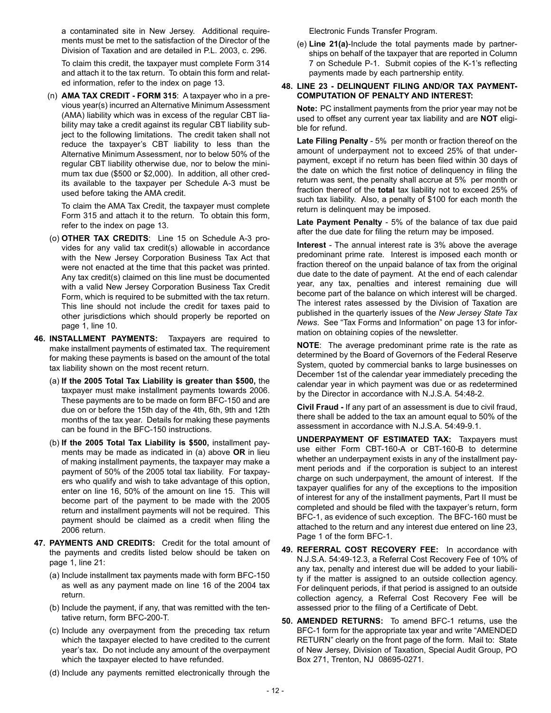a contaminated site in New Jersey. Additional requirements must be met to the satisfaction of the Director of the Division of Taxation and are detailed in P.L. 2003, c. 296.

To claim this credit, the taxpayer must complete Form 314 and attach it to the tax return. To obtain this form and related information, refer to the index on page 13.

(n) **AMA TAX CREDIT - FORM 315**: A taxpayer who in a previous year(s) incurred an Alternative Minimum Assessment (AMA) liability which was in excess of the regular CBT liability may take a credit against its regular CBT liability subject to the following limitations. The credit taken shall not reduce the taxpayer's CBT liability to less than the Alternative Minimum Assessment, nor to below 50% of the regular CBT liability otherwise due, nor to below the minimum tax due (\$500 or \$2,000). In addition, all other credits available to the taxpayer per Schedule A-3 must be used before taking the AMA credit.

To claim the AMA Tax Credit, the taxpayer must complete Form 315 and attach it to the return. To obtain this form, refer to the index on page 13.

- (o) **OTHER TAX CREDITS**: Line 15 on Schedule A-3 provides for any valid tax credit(s) allowable in accordance with the New Jersey Corporation Business Tax Act that were not enacted at the time that this packet was printed. Any tax credit(s) claimed on this line must be documented with a valid New Jersey Corporation Business Tax Credit Form, which is required to be submitted with the tax return. This line should not include the credit for taxes paid to other jurisdictions which should properly be reported on page 1, line 10.
- **46. INSTALLMENT PAYMENTS:** Taxpayers are required to make installment payments of estimated tax. The requirement for making these payments is based on the amount of the total tax liability shown on the most recent return.
	- (a) **If the 2005 Total Tax Liability is greater than \$500,** the taxpayer must make installment payments towards 2006. These payments are to be made on form BFC-150 and are due on or before the 15th day of the 4th, 6th, 9th and 12th months of the tax year. Details for making these payments can be found in the BFC-150 instructions.
	- (b) **If the 2005 Total Tax Liability is \$500,** installment payments may be made as indicated in (a) above **OR** in lieu of making installment payments, the taxpayer may make a payment of 50% of the 2005 total tax liability. For taxpayers who qualify and wish to take advantage of this option, enter on line 16, 50% of the amount on line 15. This will become part of the payment to be made with the 2005 return and installment payments will not be required. This payment should be claimed as a credit when filing the 2006 return.
- **47. PAYMENTS AND CREDITS:** Credit for the total amount of the payments and credits listed below should be taken on page 1, line 21:
	- (a) Include installment tax payments made with form BFC-150 as well as any payment made on line 16 of the 2004 tax return.
	- (b) Include the payment, if any, that was remitted with the tentative return, form BFC-200-T.
	- (c) Include any overpayment from the preceding tax return which the taxpayer elected to have credited to the current year's tax. Do not include any amount of the overpayment which the taxpayer elected to have refunded.
	- (d) Include any payments remitted electronically through the

Electronic Funds Transfer Program.

(e) **Line 21(a)**-Include the total payments made by partnerships on behalf of the taxpayer that are reported in Column 7 on Schedule P-1. Submit copies of the K-1's reflecting payments made by each partnership entity.

#### **48. LINE 23 - DELINQUENT FILING AND/OR TAX PAYMENT-COMPUTATION OF PENALTY AND INTEREST:**

**Note:** PC installment payments from the prior year may not be used to offset any current year tax liability and are **NOT** eligible for refund.

**Late Filing Penalty** - 5% per month or fraction thereof on the amount of underpayment not to exceed 25% of that underpayment, except if no return has been filed within 30 days of the date on which the first notice of delinquency in filing the return was sent, the penalty shall accrue at 5% per month or fraction thereof of the **total** tax liability not to exceed 25% of such tax liability. Also, a penalty of \$100 for each month the return is delinquent may be imposed.

**Late Payment Penalty** - 5% of the balance of tax due paid after the due date for filing the return may be imposed.

**Interest** - The annual interest rate is 3% above the average predominant prime rate. Interest is imposed each month or fraction thereof on the unpaid balance of tax from the original due date to the date of payment. At the end of each calendar year, any tax, penalties and interest remaining due will become part of the balance on which interest will be charged. The interest rates assessed by the Division of Taxation are published in the quarterly issues of the *New Jersey State Tax News*. See "Tax Forms and Information" on page 13 for information on obtaining copies of the newsletter.

**NOTE**: The average predominant prime rate is the rate as determined by the Board of Governors of the Federal Reserve System, quoted by commercial banks to large businesses on December 1st of the calendar year immediately preceding the calendar year in which payment was due or as redetermined by the Director in accordance with N.J.S.A. 54:48-2.

**Civil Fraud -** If any part of an assessment is due to civil fraud, there shall be added to the tax an amount equal to 50% of the assessment in accordance with N.J.S.A. 54:49-9.1.

- **UNDERPAYMENT OF ESTIMATED TAX:** Taxpayers must use either Form CBT-160-A or CBT-160-B to determine whether an underpayment exists in any of the installment payment periods and if the corporation is subject to an interest charge on such underpayment, the amount of interest. If the taxpayer qualifies for any of the exceptions to the imposition of interest for any of the installment payments, Part II must be completed and should be filed with the taxpayer's return, form BFC-1, as evidence of such exception. The BFC-160 must be attached to the return and any interest due entered on line 23, Page 1 of the form BFC-1.
- **49. REFERRAL COST RECOVERY FEE:** In accordance with N.J.S.A. 54:49-12.3, a Referral Cost Recovery Fee of 10% of any tax, penalty and interest due will be added to your liability if the matter is assigned to an outside collection agency. For delinquent periods, if that period is assigned to an outside collection agency, a Referral Cost Recovery Fee will be assessed prior to the filing of a Certificate of Debt.
- **50. AMENDED RETURNS:** To amend BFC-1 returns, use the BFC-1 form for the appropriate tax year and write "AMENDED RETURN" clearly on the front page of the form. Mail to: State of New Jersey, Division of Taxation, Special Audit Group, PO Box 271, Trenton, NJ 08695-0271.